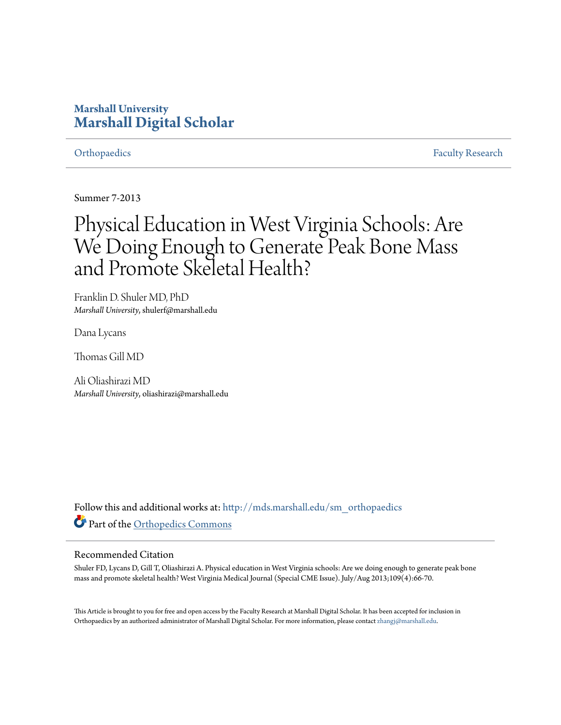# **Marshall University [Marshall Digital Scholar](http://mds.marshall.edu?utm_source=mds.marshall.edu%2Fsm_orthopaedics%2F5&utm_medium=PDF&utm_campaign=PDFCoverPages)**

[Orthopaedics](http://mds.marshall.edu/sm_orthopaedics?utm_source=mds.marshall.edu%2Fsm_orthopaedics%2F5&utm_medium=PDF&utm_campaign=PDFCoverPages) **[Faculty Research](http://mds.marshall.edu/sm_faculty?utm_source=mds.marshall.edu%2Fsm_orthopaedics%2F5&utm_medium=PDF&utm_campaign=PDFCoverPages) Faculty Research** 

Summer 7-2013

# Physical Education in West Virginia Schools: Are We Doing Enough to Generate Peak Bone Mass and Promote Skeletal Health?

Franklin D. Shuler MD, PhD *Marshall University*, shulerf@marshall.edu

Dana Lycans

Thomas Gill MD

Ali Oliashirazi MD *Marshall University*, oliashirazi@marshall.edu

Follow this and additional works at: [http://mds.marshall.edu/sm\\_orthopaedics](http://mds.marshall.edu/sm_orthopaedics?utm_source=mds.marshall.edu%2Fsm_orthopaedics%2F5&utm_medium=PDF&utm_campaign=PDFCoverPages) Part of the [Orthopedics Commons](http://network.bepress.com/hgg/discipline/696?utm_source=mds.marshall.edu%2Fsm_orthopaedics%2F5&utm_medium=PDF&utm_campaign=PDFCoverPages)

#### Recommended Citation

Shuler FD, Lycans D, Gill T, Oliashirazi A. Physical education in West Virginia schools: Are we doing enough to generate peak bone mass and promote skeletal health? West Virginia Medical Journal (Special CME Issue). July/Aug 2013;109(4):66-70.

This Article is brought to you for free and open access by the Faculty Research at Marshall Digital Scholar. It has been accepted for inclusion in Orthopaedics by an authorized administrator of Marshall Digital Scholar. For more information, please contact [zhangj@marshall.edu.](mailto:zhangj@marshall.edu)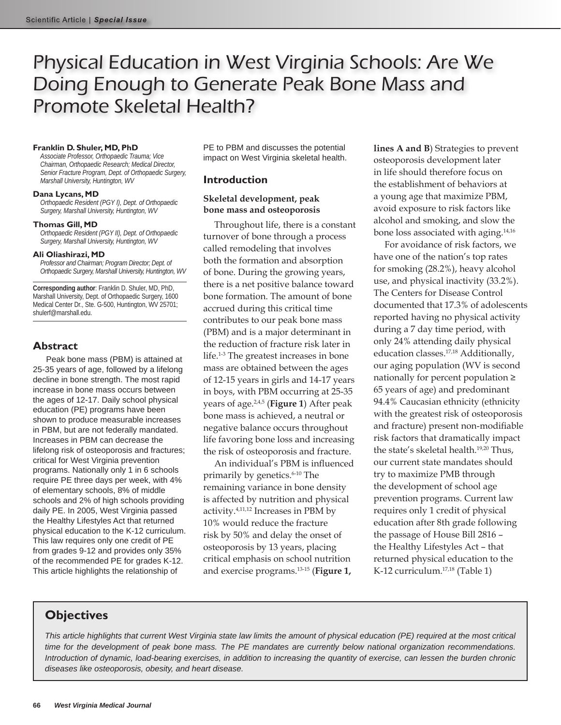# Physical Education in West Virginia Schools: Are We Doing Enough to Generate Peak Bone Mass and Promote Skeletal Health?

#### **Franklin D. Shuler, MD, PhD**

*Associate Professor, Orthopaedic Trauma; Vice Chairman, Orthopaedic Research; Medical Director, Senior Fracture Program, Dept. of Orthopaedic Surgery, Marshall University, Huntington, WV*

#### **Dana Lycans, MD**

*Orthopaedic Resident (PGY I), Dept. of Orthopaedic Surgery, Marshall University, Huntington, WV*

#### **Thomas Gill, MD**

*Orthopaedic Resident (PGY II), Dept. of Orthopaedic Surgery, Marshall University, Huntington, WV*

#### **Ali Oliashirazi, MD**

*Professor and Chairman; Program Director; Dept. of Orthopaedic Surgery, Marshall University, Huntington, WV*

**Corresponding author**: Franklin D. Shuler, MD, PhD, Marshall University, Dept. of Orthopaedic Surgery, 1600 Medical Center Dr., Ste. G-500, Huntington, WV 25701; shulerf@marshall.edu.

#### **Abstract**

Peak bone mass (PBM) is attained at 25-35 years of age, followed by a lifelong decline in bone strength. The most rapid increase in bone mass occurs between the ages of 12-17. Daily school physical education (PE) programs have been shown to produce measurable increases in PBM, but are not federally mandated. Increases in PBM can decrease the lifelong risk of osteoporosis and fractures; critical for West Virginia prevention programs. Nationally only 1 in 6 schools require PE three days per week, with 4% of elementary schools, 8% of middle schools and 2% of high schools providing daily PE. In 2005, West Virginia passed the Healthy Lifestyles Act that returned physical education to the K-12 curriculum. This law requires only one credit of PE from grades 9-12 and provides only 35% of the recommended PE for grades K-12. This article highlights the relationship of

PE to PBM and discusses the potential impact on West Virginia skeletal health.

### **Introduction**

#### **Skeletal development, peak bone mass and osteoporosis**

Throughout life, there is a constant turnover of bone through a process called remodeling that involves both the formation and absorption of bone. During the growing years, there is a net positive balance toward bone formation. The amount of bone accrued during this critical time contributes to our peak bone mass (PBM) and is a major determinant in the reduction of fracture risk later in life.1-3 The greatest increases in bone mass are obtained between the ages of 12-15 years in girls and 14-17 years in boys, with PBM occurring at 25-35 years of age.2,4,5 (**Figure 1**) After peak bone mass is achieved, a neutral or negative balance occurs throughout life favoring bone loss and increasing the risk of osteoporosis and fracture.

An individual's PBM is influenced primarily by genetics.<sup>6-10</sup> The remaining variance in bone density is affected by nutrition and physical activity.4,11,12 Increases in PBM by 10% would reduce the fracture risk by 50% and delay the onset of osteoporosis by 13 years, placing critical emphasis on school nutrition and exercise programs.13-15 (**Figure 1,** 

**lines A and B**) Strategies to prevent osteoporosis development later in life should therefore focus on the establishment of behaviors at a young age that maximize PBM, avoid exposure to risk factors like alcohol and smoking, and slow the bone loss associated with aging.14,16

For avoidance of risk factors, we have one of the nation's top rates for smoking (28.2%), heavy alcohol use, and physical inactivity (33.2%). The Centers for Disease Control documented that 17.3% of adolescents reported having no physical activity during a 7 day time period, with only 24% attending daily physical education classes.17,18 Additionally, our aging population (WV is second nationally for percent population ≥ 65 years of age) and predominant 94.4% Caucasian ethnicity (ethnicity with the greatest risk of osteoporosis and fracture) present non-modifiable risk factors that dramatically impact the state's skeletal health.<sup>19,20</sup> Thus, our current state mandates should try to maximize PMB through the development of school age prevention programs. Current law requires only 1 credit of physical education after 8th grade following the passage of House Bill 2816 – the Healthy Lifestyles Act – that returned physical education to the K-12 curriculum.<sup>17,18</sup> (Table 1)

## **Objectives**

*This article highlights that current West Virginia state law limits the amount of physical education (PE) required at the most critical time for the development of peak bone mass. The PE mandates are currently below national organization recommendations. Introduction of dynamic, load-bearing exercises, in addition to increasing the quantity of exercise, can lessen the burden chronic diseases like osteoporosis, obesity, and heart disease.*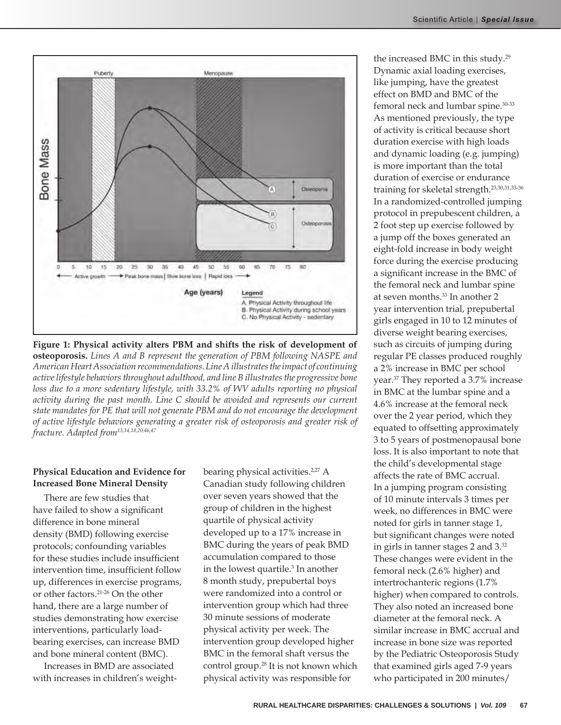



**Figure 1: Physical activity alters PBM and shifts the risk of development of osteoporosis.** *Lines A and B represent the generation of PBM following NASPE and American Heart Association recommendations. Line A illustrates the impact of continuing active lifestyle behaviors throughout adulthood, and line B illustrates the progressive bone loss due to a more sedentary lifestyle, with 33.2% of WV adults reporting no physical activity during the past month. Line C should be avoided and represents our current state mandates for PE that will not generate PBM and do not encourage the development of active lifestyle behaviors generating a greater risk of osteoporosis and greater risk of fracture. Adapted from13,14,18,20,46,47*

### **Physical Education and Evidence for Increased Bone Mineral Density**

There are few studies that have failed to show a significant difference in bone mineral density (BMD) following exercise protocols; confounding variables for these studies include insufficient intervention time, insufficient follow up, differences in exercise programs, or other factors.21-26 On the other hand, there are a large number of studies demonstrating how exercise interventions, particularly loadbearing exercises, can increase BMD and bone mineral content (BMC).

Increases in BMD are associated with increases in children's weight-

bearing physical activities.<sup>2,27</sup> A Canadian study following children over seven years showed that the group of children in the highest quartile of physical activity developed up to a 17% increase in BMC during the years of peak BMD accumulation compared to those in the lowest quartile.3 In another 8 month study, prepubertal boys were randomized into a control or intervention group which had three 30 minute sessions of moderate physical activity per week. The intervention group developed higher BMC in the femoral shaft versus the control group.<sup>28</sup> It is not known which physical activity was responsible for

the increased BMC in this study.29 Dynamic axial loading exercises, like jumping, have the greatest effect on BMD and BMC of the femoral neck and lumbar spine.<sup>30-33</sup> As mentioned previously, the type of activity is critical because short duration exercise with high loads and dynamic loading (e.g. jumping) is more important than the total duration of exercise or endurance training for skeletal strength.23,30,31,33-36 In a randomized-controlled jumping protocol in prepubescent children, a 2 foot step up exercise followed by a jump off the boxes generated an eight-fold increase in body weight force during the exercise producing a significant increase in the BMC of the femoral neck and lumbar spine at seven months.33 In another 2 year intervention trial, prepubertal girls engaged in 10 to 12 minutes of diverse weight bearing exercises, such as circuits of jumping during regular PE classes produced roughly a 2% increase in BMC per school year.37 They reported a 3.7% increase in BMC at the lumbar spine and a 4.6% increase at the femoral neck over the 2 year period, which they equated to offsetting approximately 3 to 5 years of postmenopausal bone loss. It is also important to note that the child's developmental stage affects the rate of BMC accrual. In a jumping program consisting of 10 minute intervals 3 times per week, no differences in BMC were noted for girls in tanner stage 1, but significant changes were noted in girls in tanner stages 2 and 3.32 These changes were evident in the femoral neck (2.6% higher) and intertrochanteric regions (1.7% higher) when compared to controls. They also noted an increased bone diameter at the femoral neck. A similar increase in BMC accrual and increase in bone size was reported by the Pediatric Osteoporosis Study that examined girls aged 7-9 years who participated in 200 minutes/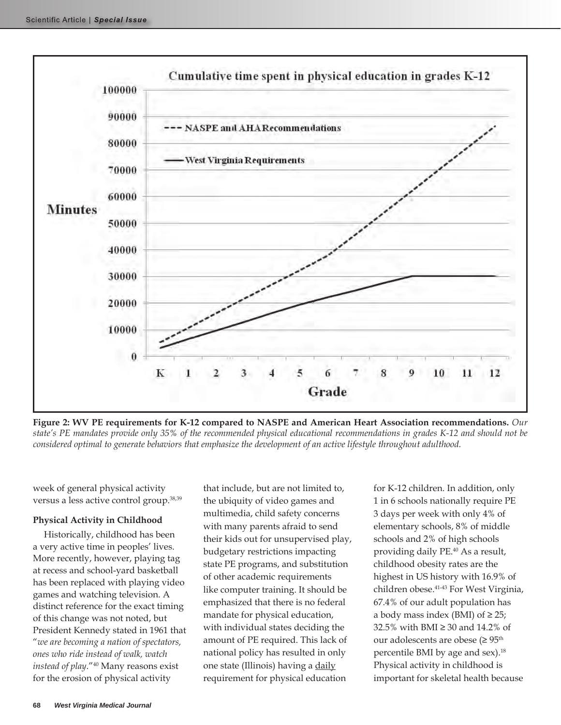

**Figure 2: WV PE requirements for K-12 compared to NASPE and American Heart Association recommendations.** *Our state's PE mandates provide only 35% of the recommended physical educational recommendations in grades K-12 and should not be considered optimal to generate behaviors that emphasize the development of an active lifestyle throughout adulthood.* 

week of general physical activity versus a less active control group.38,39

#### **Physical Activity in Childhood**

Historically, childhood has been a very active time in peoples' lives. More recently, however, playing tag at recess and school-yard basketball has been replaced with playing video games and watching television. A distinct reference for the exact timing of this change was not noted, but President Kennedy stated in 1961 that "*we are becoming a nation of spectators, ones who ride instead of walk, watch instead of play*."40 Many reasons exist for the erosion of physical activity

that include, but are not limited to, the ubiquity of video games and multimedia, child safety concerns with many parents afraid to send their kids out for unsupervised play, budgetary restrictions impacting state PE programs, and substitution of other academic requirements like computer training. It should be emphasized that there is no federal mandate for physical education, with individual states deciding the amount of PE required. This lack of national policy has resulted in only one state (Illinois) having a daily requirement for physical education

for K-12 children. In addition, only 1 in 6 schools nationally require PE 3 days per week with only 4% of elementary schools, 8% of middle schools and 2% of high schools providing daily PE.40 As a result, childhood obesity rates are the highest in US history with 16.9% of children obese.41-43 For West Virginia, 67.4% of our adult population has a body mass index (BMI) of  $\geq$  25; 32.5% with BMI ≥ 30 and 14.2% of our adolescents are obese ( $\geq 95^{\text{th}}$ percentile BMI by age and sex).<sup>18</sup> Physical activity in childhood is important for skeletal health because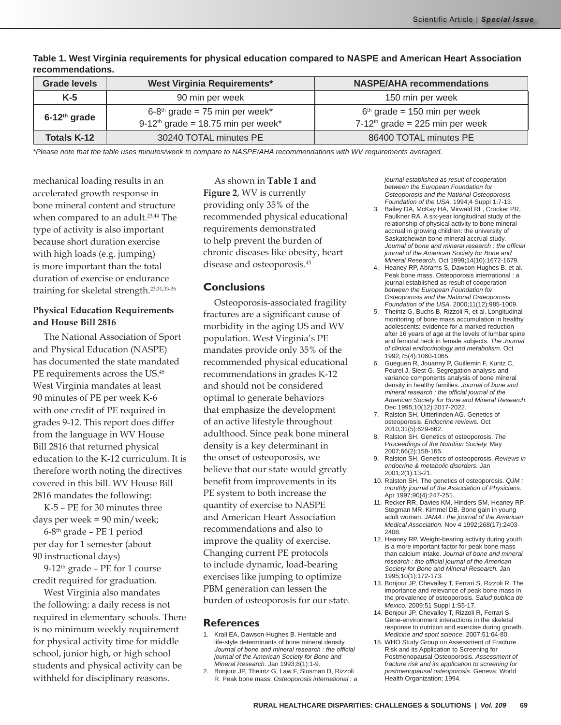| <b>Grade levels</b> | <b>West Virginia Requirements*</b>                                                 | <b>NASPE/AHA recommendations</b>                                    |
|---------------------|------------------------------------------------------------------------------------|---------------------------------------------------------------------|
| $K-5$               | 90 min per week                                                                    | 150 min per week                                                    |
| $6-12th$ grade      | $6-8th$ grade = 75 min per week*<br>9-12 <sup>th</sup> grade = 18.75 min per week* | $6th$ grade = 150 min per week<br>$7-12th$ grade = 225 min per week |
| Totals K-12         | 30240 TOTAL minutes PE                                                             | 86400 TOTAL minutes PE                                              |

**Table 1. West Virginia requirements for physical education compared to NASPE and American Heart Association recommendations.**

*\*Please note that the table uses minutes/week to compare to NASPE/AHA recommendations with WV requirements averaged.* 

mechanical loading results in an accelerated growth response in bone mineral content and structure when compared to an adult.<sup>23,44</sup> The type of activity is also important because short duration exercise with high loads (e.g. jumping) is more important than the total duration of exercise or endurance training for skeletal strength.23,31,33-36

#### **Physical Education Requirements and House Bill 2816**

The National Association of Sport and Physical Education (NASPE) has documented the state mandated PE requirements across the US.<sup>45</sup> West Virginia mandates at least 90 minutes of PE per week K-6 with one credit of PE required in grades 9-12. This report does differ from the language in WV House Bill 2816 that returned physical education to the K-12 curriculum. It is therefore worth noting the directives covered in this bill. WV House Bill 2816 mandates the following:

K-5 – PE for 30 minutes three days per week = 90 min/week;

6-8th grade – PE 1 period per day for 1 semester (about 90 instructional days)

9-12th grade – PE for 1 course credit required for graduation.

West Virginia also mandates the following: a daily recess is not required in elementary schools. There is no minimum weekly requirement for physical activity time for middle school, junior high, or high school students and physical activity can be withheld for disciplinary reasons.

As shown in **Table 1 and Figure 2**, WV is currently providing only 35% of the recommended physical educational requirements demonstrated to help prevent the burden of chronic diseases like obesity, heart disease and osteoporosis.45

### **Conclusions**

Osteoporosis-associated fragility fractures are a significant cause of morbidity in the aging US and WV population. West Virginia's PE mandates provide only 35% of the recommended physical educational recommendations in grades K-12 and should not be considered optimal to generate behaviors that emphasize the development of an active lifestyle throughout adulthood. Since peak bone mineral density is a key determinant in the onset of osteoporosis, we believe that our state would greatly benefit from improvements in its PE system to both increase the quantity of exercise to NASPE and American Heart Association recommendations and also to improve the quality of exercise. Changing current PE protocols to include dynamic, load-bearing exercises like jumping to optimize PBM generation can lessen the burden of osteoporosis for our state.

### **References**

- 1. Krall EA, Dawson-Hughes B. Heritable and life-style determinants of bone mineral density. *Journal of bone and mineral research : the official journal of the American Society for Bone and Mineral Research.* Jan 1993;8(1):1-9.
- 2. Bonjour JP, Theintz G, Law F, Slosman D, Rizzoli R. Peak bone mass. *Osteoporosis international : a*

*journal established as result of cooperation between the European Foundation for Osteoporosis and the National Osteoporosis Foundation of the USA.* 1994;4 Suppl 1:7-13.

- 3. Bailey DA, McKay HA, Mirwald RL, Crocker PR, Faulkner RA. A six-year longitudinal study of the relationship of physical activity to bone mineral accrual in growing children: the university of Saskatchewan bone mineral accrual study. *Journal of bone and mineral research : the official journal of the American Society for Bone and Mineral Research.* Oct 1999;14(10):1672-1679.
- 4. Heaney RP, Abrams S, Dawson-Hughes B, et al. Peak bone mass. Osteoporosis international : a journal established as result of cooperation *between the European Foundation for Osteoporosis and the National Osteoporosis Foundation of the USA.* 2000;11(12):985-1009.
- 5. Theintz G, Buchs B, Rizzoli R, et al. Longitudinal monitoring of bone mass accumulation in healthy adolescents: evidence for a marked reduction after 16 years of age at the levels of lumbar spine and femoral neck in female subjects. *The Journal of clinical endocrinology and metabolism.* Oct 1992;75(4):1060-1065.
- 6. Gueguen R, Jouanny P, Guillemin F, Kuntz C, Pourel J, Siest G. Segregation analysis and variance components analysis of bone mineral density in healthy families. *Journal of bone and mineral research : the official journal of the American Society for Bone and Mineral Research.*  Dec 1995;10(12):2017-2022.
- 7. Ralston SH, Uitterlinden AG. Genetics of osteoporosis. *Endocrine reviews.* Oct 2010;31(5):629-662.
- 8. Ralston SH. Genetics of osteoporosis. *The Proceedings of the Nutrition Society.* May 2007;66(2):158-165.
- 9. Ralston SH. Genetics of osteoporosis. *Reviews in endocrine & metabolic disorders.* Jan 2001;2(1):13-21.
- 10. Ralston SH. The genetics of osteoporosis. *QJM : monthly journal of the Association of Physicians.*  Apr 1997;90(4):247-251.
- 11. Recker RR, Davies KM, Hinders SM, Heaney RP, Stegman MR, Kimmel DB. Bone gain in young adult women. *JAMA : the journal of the American Medical Association.* Nov 4 1992;268(17):2403- 2408.
- 12. Heaney RP. Weight-bearing activity during youth is a more important factor for peak bone mass than calcium intake. *Journal of bone and mineral research : the official journal of the American Society for Bone and Mineral Research.* Jan 1995;10(1):172-173.
- 13. Bonjour JP, Chevalley T, Ferrari S, Rizzoli R. The importance and relevance of peak bone mass in the prevalence of osteoporosis. *Salud publica de Mexico.* 2009;51 Suppl 1:S5-17.
- 14. Bonjour JP, Chevalley T, Rizzoli R, Ferrari S. Gene-environment interactions in the skeletal response to nutrition and exercise during growth. *Medicine and sport science.* 2007;51:64-80.
- 15. WHO Study Group on Assessment of Fracture Risk and its Application to Screening for Postmenopausal Osteoporosis. *Assessment of fracture risk and its application to screening for postmenopausal osteoporosis.* Geneva: World Health Organization; 1994.